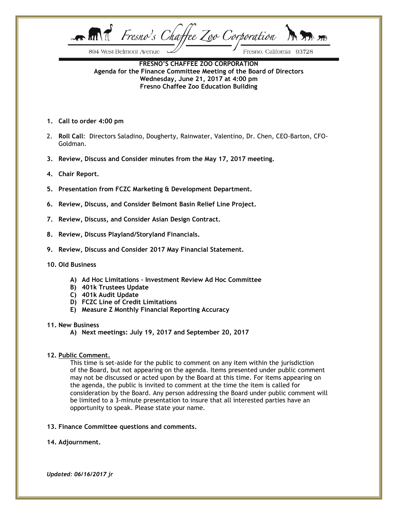Fresno's Chaffee Zoo Corporation  $\mathcal{L}$  and  $\mathcal{T}$ 

894 West Belmont Avenue

Fresno, California 93728

**FRESNO'S CHAFFEE ZOO CORPORATION Agenda for the Finance Committee Meeting of the Board of Directors Wednesday, June 21, 2017 at 4:00 pm Fresno Chaffee Zoo Education Building**

- **1. Call to order 4:00 pm**
- 2. **Roll Call**: Directors Saladino, Dougherty, Rainwater, Valentino, Dr. Chen, CEO-Barton, CFO-Goldman.
- **3. Review, Discuss and Consider minutes from the May 17, 2017 meeting.**
- **4. Chair Report.**
- **5. Presentation from FCZC Marketing & Development Department.**
- **6. Review, Discuss, and Consider Belmont Basin Relief Line Project.**
- **7. Review, Discuss, and Consider Asian Design Contract.**
- **8. Review, Discuss Playland/Storyland Financials.**
- **9. Review, Discuss and Consider 2017 May Financial Statement.**
- **10. Old Business**
	- **A) Ad Hoc Limitations – Investment Review Ad Hoc Committee**
	- **B) 401k Trustees Update**
	- **C) 401k Audit Update**
	- **D) FCZC Line of Credit Limitations**
	- **E) Measure Z Monthly Financial Reporting Accuracy**

#### **11. New Business**

**A) Next meetings: July 19, 2017 and September 20, 2017**

### **12. Public Comment.**

This time is set-aside for the public to comment on any item within the jurisdiction of the Board, but not appearing on the agenda. Items presented under public comment may not be discussed or acted upon by the Board at this time. For items appearing on the agenda, the public is invited to comment at the time the item is called for consideration by the Board. Any person addressing the Board under public comment will be limited to a 3-minute presentation to insure that all interested parties have an opportunity to speak. Please state your name.

### **13. Finance Committee questions and comments.**

### **14. Adjournment.**

*Updated: 06/16/2017 jr*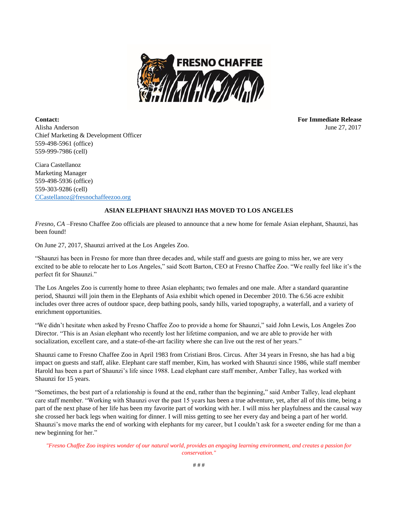

**Contact: For Immediate Release** Alisha Anderson June 27, 2017 Chief Marketing & Development Officer 559-498-5961 (office) 559-999-7986 (cell)

Ciara Castellanoz Marketing Manager 559-498-5936 (office) 559-303-9286 (cell) [CCastellanoz@fresnochaffeezoo.org](mailto:CCastellanoz@fresnochaffeezoo.org)

## **ASIAN ELEPHANT SHAUNZI HAS MOVED TO LOS ANGELES**

*Fresno, CA* –Fresno Chaffee Zoo officials are pleased to announce that a new home for female Asian elephant, Shaunzi, has been found!

On June 27, 2017, Shaunzi arrived at the Los Angeles Zoo.

"Shaunzi has been in Fresno for more than three decades and, while staff and guests are going to miss her, we are very excited to be able to relocate her to Los Angeles," said Scott Barton, CEO at Fresno Chaffee Zoo. "We really feel like it's the perfect fit for Shaunzi."

The Los Angeles Zoo is currently home to three Asian elephants; two females and one male. After a standard quarantine period, Shaunzi will join them in the Elephants of Asia exhibit which opened in December 2010. The 6.56 acre exhibit includes over three acres of outdoor space, deep bathing pools, sandy hills, varied topography, a waterfall, and a variety of enrichment opportunities.

"We didn't hesitate when asked by Fresno Chaffee Zoo to provide a home for Shaunzi," said John Lewis, Los Angeles Zoo Director. "This is an Asian elephant who recently lost her lifetime companion, and we are able to provide her with socialization, excellent care, and a state-of-the-art facility where she can live out the rest of her years."

Shaunzi came to Fresno Chaffee Zoo in April 1983 from Cristiani Bros. Circus. After 34 years in Fresno, she has had a big impact on guests and staff, alike. Elephant care staff member, Kim, has worked with Shaunzi since 1986, while staff member Harold has been a part of Shaunzi's life since 1988. Lead elephant care staff member, Amber Talley, has worked with Shaunzi for 15 years.

"Sometimes, the best part of a relationship is found at the end, rather than the beginning," said Amber Talley, lead elephant care staff member. "Working with Shaunzi over the past 15 years has been a true adventure, yet, after all of this time, being a part of the next phase of her life has been my favorite part of working with her. I will miss her playfulness and the causal way she crossed her back legs when waiting for dinner. I will miss getting to see her every day and being a part of her world. Shaunzi's move marks the end of working with elephants for my career, but I couldn't ask for a sweeter ending for me than a new beginning for her."

*"Fresno Chaffee Zoo inspires wonder of our natural world, provides an engaging learning environment, and creates a passion for conservation."*